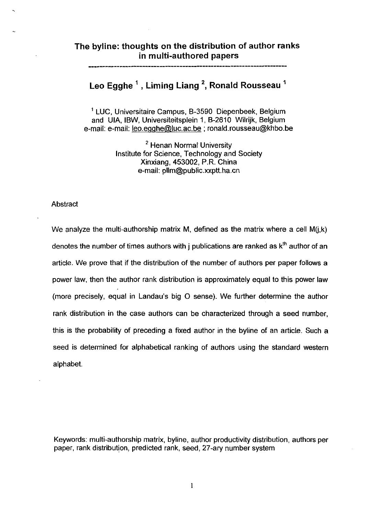## **The byline: thoughts on the distribution of author ranks in multi-authored papers**

# **Leo Egghe** ' , **Liming Liang** \*, **Ronald Rousseau** '

<sup>1</sup> LUC, Universitaire Campus, B-3590 Diepenbeek, Belgium<br>and UIA, IBW, Universiteitsplein 1, B-2610 Wilrijk, Belgium e-mail: e-mail: leo.eqahe@luc.ac.be ; ronald.rousseau@khbo.be

> <sup>2</sup> Henan Normal University Institute for Science, Technology and Society Xinxiang, 453002, P.R. China e-mail: pllm@public.xxptt.ha.cn

## Abstract

We analyze the multi-authorship matrix M, defined as the matrix where a cell  $M(i,k)$ denotes the number of times authors with j publications are ranked as  $k<sup>th</sup>$  author of an article. We prove that if the distribution of the number of authors per paper follows a power law, then the author rank distribution is approximately equal to this power law (more precisely, equal in Landau's big 0 sense). We further determine the author rank distribution in the case authors can be characterized through a seed number, this is the probability of preceding a fixed author in the byline of an article. Such a seed is determined for alphabetical ranking of authors using the standard western alphabet.

Keywords: multi-authorship matrix, byline, author productivity distribution, authors per paper, rank distribution, predicted rank, seed, 27-ary number system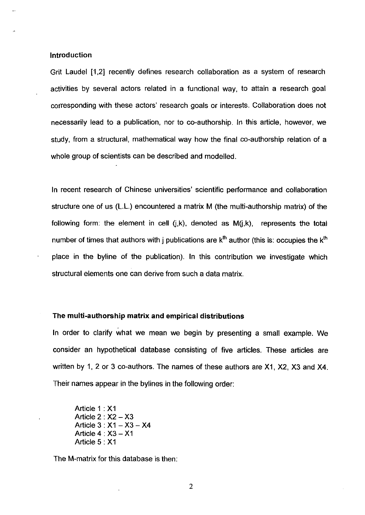## Introduction

Grit Laudel [1,2] recently defines research collaboration as a system of research activities by several actors related in a functional way, to attain a research goal corresponding with these actors' research goals or interests. Collaboration does not necessarily lead to a publication, nor to co-authorship. In this article, however, we study, from a structural, mathematical way how the final co-authorship relation of a whole group of scientists can be described and modelled.

In recent research of Chinese universities' scientific performance and collaboration structure one of us (L.L.) encountered a matrix M (the multi-authorship matrix) of the following form: the element in cell  $(j,k)$ , denoted as  $M(j,k)$ , represents the total number of times that authors with j publications are  $k<sup>th</sup>$  author (this is: occupies the  $k<sup>th</sup>$ place in the byline of the publication). In this contribution we investigate which structural elements one can derive from such a data matrix.

## The multi-authorship matrix and empirical distributions

In order to clarify what we mean we begin by presenting a small example. We consider an hypothetical database consisting of five articles. These articles are written by 1, 2 or 3 co-authors. The names of these authors are XI, X2, X3 and X4. Their names appear in the bylines in the following order:

Article 1 : XI Article  $2 : X2 - X3$ Article  $3: X1 - X3 - X4$ Article **4** : X3 - XI Article 5 : XI

The M-matrix for this database is then: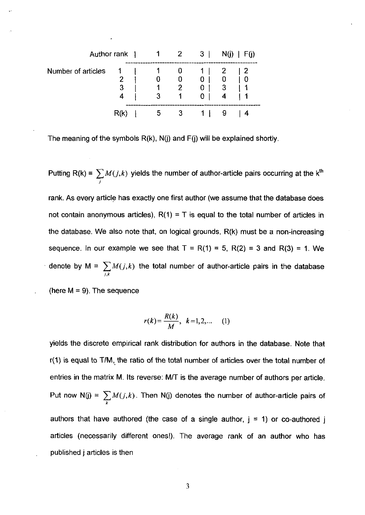| Author rank        |       |  |    | $1 \quad 2$    | $3 \mid$       | N(i)         | F(i) |
|--------------------|-------|--|----|----------------|----------------|--------------|------|
| Number of articles |       |  |    | 0.             |                | $\mathbf{2}$ | - 2  |
|                    |       |  | 0  | 0              | 0 <sup>1</sup> |              |      |
|                    | 3     |  |    | $\overline{2}$ | 0 <sup>1</sup> | $\mathbf{3}$ |      |
|                    | 4     |  |    | $\overline{1}$ | 0 <sup>1</sup> | 4            |      |
|                    | – Rtr |  | b. |                |                |              |      |

The meaning of the symbols R(k), N(j) and **F(j)** will be explained shortly.

 $P$ utting R(k) =  $\sum M(j,k)$  yields the number of author-article pairs occurring at the  $k^{\text{th}}$ *1*  rank. As every article has exactly one first author (we assume that the database does not contain anonymous articles),  $R(1) = T$  is equal to the total number of articles in the database. We also note that, on logical grounds, R(k) must be a non-increasing sequence. In our example we see that  $T = R(1) = 5$ ,  $R(2) = 3$  and  $R(3) = 1$ . We denote by M =  $\sum M(j,k)$  the total number of author-article pairs in the database *1.k* 

(here  $M = 9$ ). The sequence

$$
r(k) = \frac{R(k)}{M}, \ k = 1, 2, \dots \quad (1)
$$

yields the discrete empirical rank distribution for authors in the database. Note that r(1) is equal to TIM, the ratio of the total number of articles over the total number of entries in the matrix M. Its reverse: M/T is the average number of authors per article. Put now  $N(j) = \sum M(j,k)$ . Then  $N(j)$  denotes the number of author-article pairs of **k**  authors that have authored (the case of a single author,  $j = 1$ ) or co-authored j articles (necessarily different ones!). The average rank of an author who has published j articles is then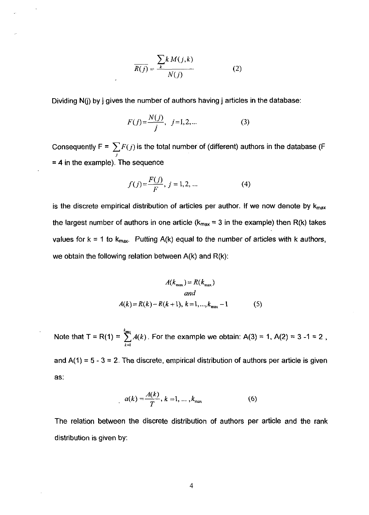$$
\overline{R(j)} = \frac{\sum_{k} k M(j,k)}{N(j)} \tag{2}
$$

Dividing N(j) by **j** gives the number of authors having j articles in the database:

$$
F(j) = \frac{N(j)}{j}, \ \ j = 1, 2, \dots \tag{3}
$$

Consequently F =  $\sum\limits F(j)$  is the total number of (different) authors in the database (F *I*  = **4** in the example). The sequence

$$
f(j) = \frac{F(j)}{F}, \ j = 1, 2, ... \tag{4}
$$

is the discrete empirical distribution of articles per author. If we now denote by  $k_{max}$ the largest number of authors in one article ( $k_{max} = 3$  in the example) then R(k) takes values for  $k = 1$  to  $k_{max}$ . Putting A(k) equal to the number of articles with k authors, we obtain the following relation between  $A(k)$  and  $R(k)$ :

$$
A(k_{\max}) = R(k_{\max})
$$
  
and  

$$
A(k) = R(k) - R(k+1), k = 1, ..., k_{\max} - 1
$$
 (5)

Note that T = R(1) =  $\sum_{k=1}^{n} A(k)$ . For the example we obtain: A(3) = 1, A(2) = 3 -1 = 2, **k=l** 

and  $A(1) = 5 - 3 = 2$ . The discrete, empirical distribution of authors per article is given as:

$$
a(k) = \frac{A(k)}{T}, k = 1, ..., k_{\max}
$$
 (6)

The relation between the discrete distribution of authors per article and the rank distribution is given by: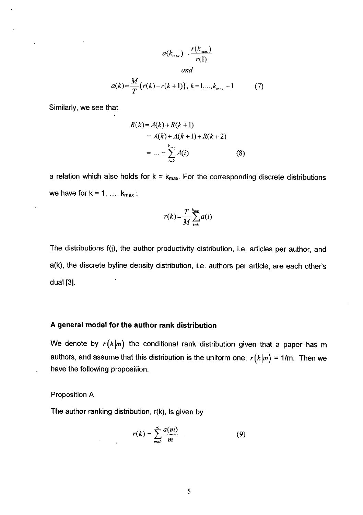$$
a(k_{\max}) = \frac{r(k_{\max})}{r(1)}
$$
  
and

$$
a(k) = \frac{M}{T}(r(k) - r(k+1)), k = 1, ..., k_{\text{max}} - 1
$$
 (7)

Similarly, we see that

$$
R(k) = A(k) + R(k+1)
$$
  
=  $A(k) + A(k+1) + R(k+2)$   
= ... =  $\sum_{i=k}^{k_{max}} A(i)$  (8)

a relation which also holds for  $k = k_{max}$ . For the corresponding discrete distributions we have for  $k = 1, ..., k_{max}$ :

$$
r(k) = \frac{T}{M} \sum_{i=k}^{k_{\text{max}}} a(i)
$$

The distributions f(j), the author productivity distribution, i.e. articles per author, and a(k), the discrete byline density distribution, i.e. authors per article, are each other's dual **[3].** 

## **A general model for the author rank distribution**

We denote by  $r(k|m)$  the conditional rank distribution given that a paper has m authors, and assume that this distribution is the uniform one:  $r(k|m) = 1/m$ . Then we have the following proposition.

## Proposition A

The author ranking distribution, r(k), is given by

$$
r(k) = \sum_{m=k}^{\infty} \frac{a(m)}{m}
$$
 (9)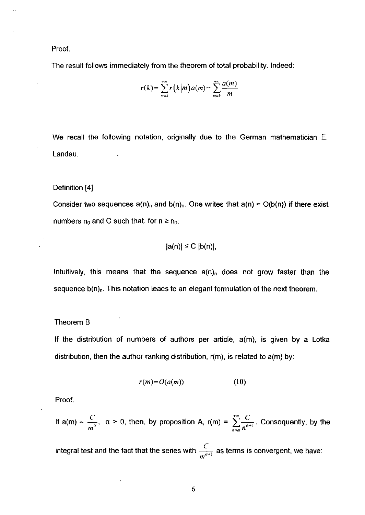Proof.

The result follows immediately from the theorem of total probability. Indeed:

$$
r(k) = \sum_{m=k}^{+\infty} r(k|m) a(m) = \sum_{m=k}^{+\infty} \frac{a(m)}{m}
$$

We recall the following notation, originally due to the German mathematician E. Landau.

Definition **[4]** 

Consider two sequences  $a(n)_n$  and  $b(n)_n$ . One writes that  $a(n) = O(b(n))$  if there exist numbers  $n_0$  and C such that, for  $n \ge n_0$ :

$$
|a(n)| \leq C |b(n)|,
$$

Intuitively, this means that the sequence  $a(n)_n$  does not grow faster than the sequence  $b(n)_n$ . This notation leads to an elegant formulation of the next theorem.

## Theorem B

If the distribution of numbers of authors per article,  $a(m)$ , is given by a Lotka distribution, then the author ranking distribution, r(m), is related to a(m) by:

$$
r(m) = O(a(m)) \tag{10}
$$

Proof.

If 
$$
a(m) = \frac{C}{m^{\alpha}}
$$
,  $\alpha > 0$ , then, by proposition A,  $r(m) = \sum_{n=m}^{+\infty} \frac{C}{n^{\alpha+1}}$ . Consequently, by the

integral test and the fact that the series with  $\frac{C}{m^{\alpha+1}}$  as terms is convergent, we have: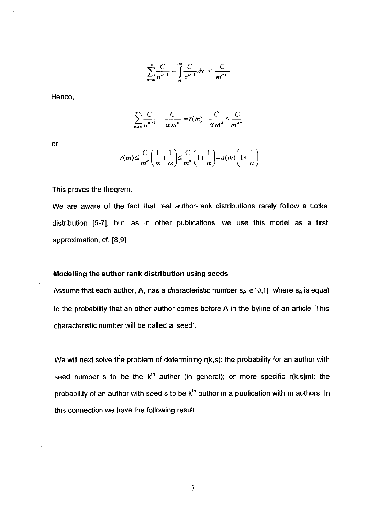$$
\sum_{n=m}^{+\infty}\frac{C}{n^{\alpha+1}}-\int_{n}^{+\infty}\frac{C}{x^{\alpha+1}}dx\leq \frac{C}{m^{\alpha+1}}
$$

Hence,

$$
\sum_{n=m}^{+\infty}\frac{C}{n^{\alpha+1}}-\frac{C}{\alpha m^{\alpha}}=r(m)-\frac{C}{\alpha m^{\alpha}}\leq\frac{C}{m^{\alpha+1}}
$$

or,

$$
r(m) \leq \frac{C}{m^{\alpha}} \left( \frac{1}{m} + \frac{1}{\alpha} \right) \leq \frac{C}{m^{\alpha}} \left( 1 + \frac{1}{\alpha} \right) = a(m) \left( 1 + \frac{1}{\alpha} \right)
$$

This proves the theorem.

We are aware of the fact that real author-rank distributions rarely follow a Lotka distribution **[5-71,** but, as in other publications, we use this model as a first approximation, cf. **[8,9].** 

## Modelling the author **rank** distribution using seeds

Assume that each author, A, has a characteristic number  $s_A \in [0,1]$ , where  $s_A$  is equal to the probability that an other author comes before A in the byline of an article. This characteristic number will be called a 'seed'.

We will next solve the problem of determining r(k,s): the probability for an author with seed number s to be the k<sup>th</sup> author (in general); or more specific r(k,s|m): the probability of an author with seed s to be k<sup>th</sup> author in a publication with m authors. In this connection we have the following result.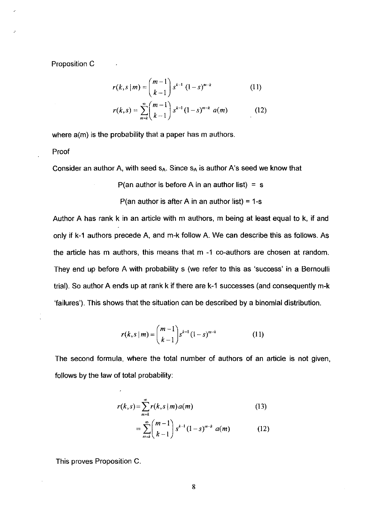Proposition C

$$
r(k, s | m) = {m-1 \choose k-1} s^{k-1} (1-s)^{m-k}
$$
 (11)

$$
r(k,s) = \sum_{m=k}^{\infty} {m-1 \choose k-1} s^{k-1} (1-s)^{m-k} a(m) \qquad (12)
$$

where  $a(m)$  is the probability that a paper has  $m$  authors.

Proof

Consider an author A, with seed  $s_A$ . Since  $s_A$  is author A's seed we know that

P(an author is before A in an author list) =  $s$ 

P(an author is after A in an author list) =  $1 - s$ 

Author A has rank k in an article with m authors, **m** being at least equal to k, if and only if k-1 authors precede A, and m-k follow A. We can describe this as follows. As the article has m authors, this means that m -1 co-authors are chosen at random. They end up before A with probability **s** (we refer to this as 'success' in a Bernoulli trial). So author A ends up at rank k if there are k-I successes (and consequently rn-k 'failures'). This shows that the situation can be described by a binomial distribution.

$$
r(k, s \mid m) = {m-1 \choose k-1} s^{k-1} (1-s)^{m-k}
$$
 (11)

The second formula, where the total number of authors of an article is not given, follows by the law of total probability:

$$
r(k,s) = \sum_{m=k}^{\infty} r(k,s|m) a(m)
$$
 (13)  

$$
= \sum_{m=k}^{\infty} {m-1 \choose k-1} s^{k-1} (1-s)^{m-k} a(m)
$$
 (12)

This proves Proposition C.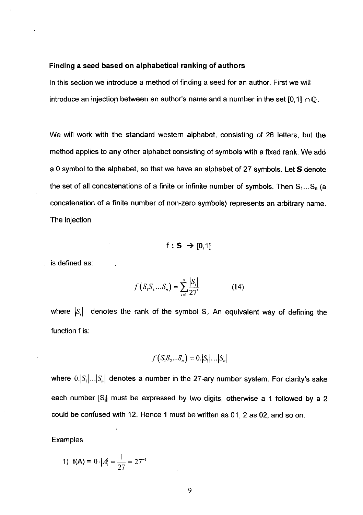## Finding a seed based on alphabetical ranking of authors

In this section we introduce a method of finding a seed for an author. First we will introduce an injection between an author's name and a number in the set [0,1]  $\cap$ Q.

We will work with the standard western alphabet, consisting of 26 letters, but the method applies to any other alphabet consisting of symbols with a fixed rank. We add a 0 symbol to the alphabet, so that we have an alphabet of 27 symbols. Let S denote the set of all concatenations of a finite or infinite number of symbols. Then  $S_1...S_n$  (a concatenation of a finite number of non-zero symbols) represents an arbitrary name. The injection

 $f: S \rightarrow [0,1]$ 

is defined as:

$$
f(S_1S_2...S_n) = \sum_{i=1}^{n} \frac{|S_i|}{27'} \tag{14}
$$

where  $|S_i|$  denotes the rank of the symbol  $S_i$ . An equivalent way of defining the function f is:

$$
f(S_1S_2...S_n)=0.|S_1|...|S_n|
$$

where  $0.|S_1|...|S_n|$  denotes a number in the 27-ary number system. For clarity's sake each number  $|S_i|$  must be expressed by two digits, otherwise a 1 followed by a 2 could be confused with 12. Hence 1 must be written as 01, 2 as 02, and so on.

**Examples** 

1) 
$$
f(A) = 0 \cdot |A| = \frac{1}{27} = 27^{-1}
$$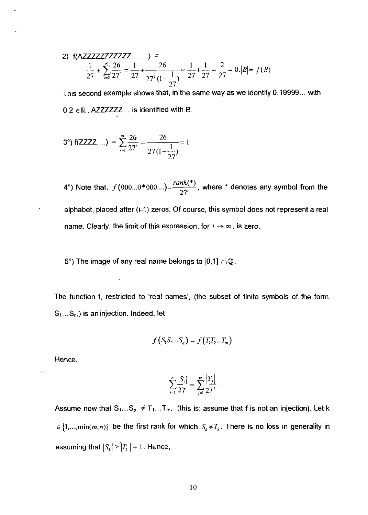2) 
$$
f(AZZZZZZZZZZ \dots) =
$$
  
\n
$$
\frac{1}{27} + \sum_{i=2}^{\infty} \frac{26}{27^i} = \frac{1}{27} + \frac{26}{27^2(1 - \frac{1}{27})} = \frac{1}{27} + \frac{1}{27} = \frac{2}{27} = 0.|B| = f(B)
$$

This second example shows that, in the same way as we identify 0.19999 ... with  $0.2 \in \mathbb{R}$ , AZZZZZZ... is identified with B.

3°) f(ZZZZ...) = 
$$
\sum_{i=1}^{\infty} \frac{26}{27'} = \frac{26}{27(1-\frac{1}{27})} = 1
$$

**4°)** Note that,  $f(000...0*000...) = \frac{rank(^{*})}{27'}$ , where  $*$  denotes any symbol from the alphabet, placed afler (i-I) zeros. Of course, this symbol does not represent a real name. Clearly, the limit of this expression, for  $i \rightarrow \infty$ , is zero.

5°) The image of any real name belongs to [0,1]  $\cap \mathbb{Q}$ .

The function f, restricted to 'real names', (the subset of finite symbols of the form  $S_1...S_n$ , is an injection. Indeed, let

$$
f(S_1S_2...S_n) = f(T_1T_2...T_m)
$$

Hence,

$$
\sum_{i=1}^{n} \frac{|S_i|}{27'} = \sum_{j=1}^{m} \frac{|T_j|}{27'}
$$

Assume now that  $S_1...S_n \neq T_1...T_m$ , (this is: assume that f is not an injection). Let k  $\in \{1, ..., \min(m, n)\}\$ be the first rank for which  $S_k \neq T_k$ . There is no loss in generality in assuming that  $|S_k| \ge |T_k| + 1$ . Hence,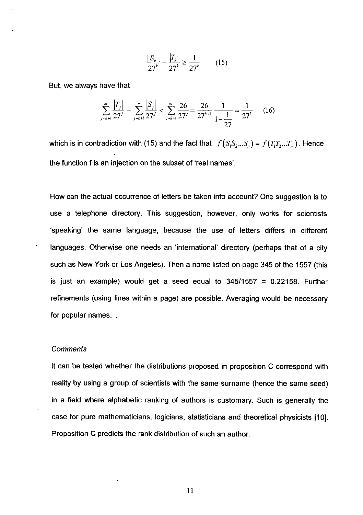$$
\frac{|S_k|}{27^k} - \frac{|T_k|}{27^k} \ge \frac{1}{27^k} \qquad (15)
$$

But, we always have that

$$
\sum_{j=k+1}^{m} \frac{|T_j|}{27^j} - \sum_{j=k+1}^{n} \frac{|S_j|}{27^j} < \sum_{j=k+1}^{\infty} \frac{26}{27^j} = \frac{26}{27^{k+1}} \frac{1}{1 - \frac{1}{27}} = \frac{1}{27^k} \tag{16}
$$

which is in contradiction with (15) and the fact that  $f(S_1S_2...S_n) = f(T_1T_2...T_n)$ . Hence the function f is an injection on the subset of 'real names'.

How can the actual occurrence of letters be taken into account? One suggestion is to use a telephone directory. This suggestion, however, only works for scientists 'speaking' the same language, because the use of letters differs in different languages. Otherwise one needs an 'international' directory (perhaps that of a city such as New York or Los Angeles). Then a name listed on page 345 of the 1557 (this is just an example) would get a seed equal to  $345/1557 = 0.22158$ . Further refinements (using lines within a page) are possible. Averaging would be necessary for popular names. .

### **Comments**

It can be tested whether the distributions proposed in proposition C correspond with reality by using a group of scientists with the same surname (hence the same seed) in a field where alphabetic ranking of authors is customary. Such is generally the case for pure mathematicians, logicians, statisticians and theoretical physicists [10]. Proposition C predicts the rank distribution of such an author.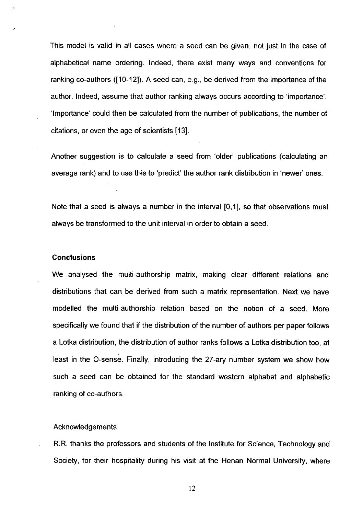This model is valid in all cases where a seed can be given, not just in the case of alphabetical name ordering. Indeed, there exist many ways and conventions for ranking co-authors ( $[10-12]$ ). A seed can, e.g., be derived from the importance of the author. Indeed, assume that author ranking always occurs according to 'importance'. 'Importance' could then be calculated from the number of publications, the number of citations, or even the age of scientists 1131.

Another suggestion is to calculate a seed from 'older' publications (calculating an average rank) and to use this to 'predict' the author rank distribution in 'newer' ones.

Note that a seed is always a number in the interval **[0,1],** so that observations must always be transformed to the unit interval in order to obtain a seed.

#### **Conclusions**

We analysed the multi-authorship matrix, making clear different relations and distributions that can be derived from such a matrix representation. Next we have modelled the multi-authorship relation based on the notion of a seed. More specifically we found that if the distribution of the number of authors per paper follows a Lotka distribution, the distribution of author ranks follows a Lotka distribution too, at least in the 0-sense. Finally, introducing the 27-ary number system we show how such a seed can be obtained for the standard western alphabet and alphabetic ranking of co-authors.

## Acknowledgements

R.R. thanks the professors and students of the Institute for Science, Technology and Society, for their hospitality during his visit at the Henan Normal University, where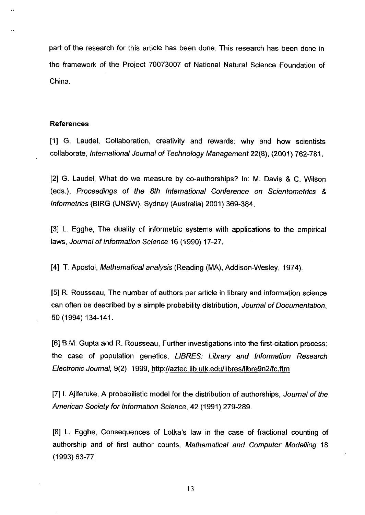part of the research for this article has been done. This research has been done in the framework of the Project 70073007 of National Natural Science Foundation of China.

## **References**

[I] G. Laudel, Collaboration, creativity and rewards: why and how scientists collaborate, lnternational Journal of Technology Management 22(8), (2001) 762-781.

[2] G. Laudel, What do we measure by co-authorships? In: M. Davis & C. Wilson (eds.), Proceedings of the 8th lnternational Conference on Scientometrics & lnformetrics (BIRG (UNSW), Sydney (Australia) 2001) 369-384.

[3] L. Egghe, The duality of informetric systems with applications to the empirical laws, Journal of Information Science 16 (1990) 17-27.

[4] T. Apostol, Mathematical analysis (Reading (MA), Addison-Wesley, 1974).

[5] R. Rousseau, The number of authors per article in library and information science can often be described by a simple probability distribution, Journal of Documentation, 50 (1994) 134-141.

[6] B.M. Gupta and R. Rousseau, Further investigations into the first-citation process: the case of population genetics, LIBRES: Library and lnformation Research Electronic Journal, 9(2) 1999, http:l/aztec.lib.utk.edullibresllibre9n2lfc.ftm

[7] I. Ajiferuke, A probabilistic model for the distribution of authorships, Journal of the American Society for lnformation Science, 42 (1991) 279-289.

[8] L. Egghe, Consequences of Lotka's law in the case of fractional counting of authorship and of first author counts, Mathematical and Computer Modelling 18 (1993) 63-77.